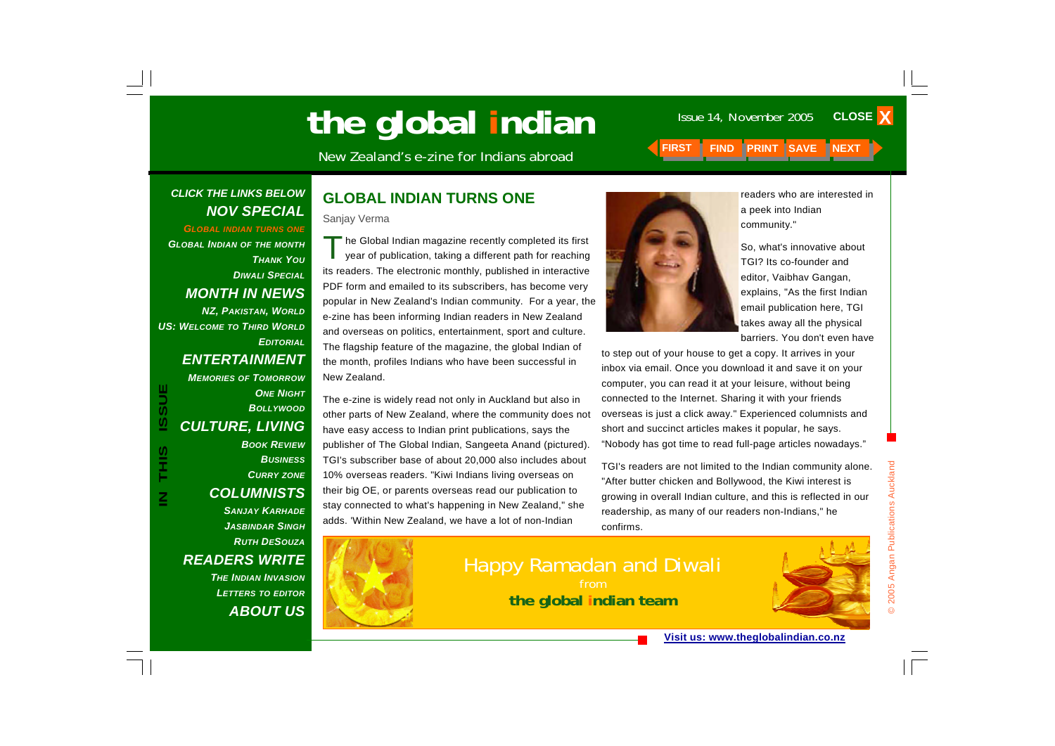# **the global indian** Issue 14, November 2005

New Zealand's e-zine for Indians abroad **FIRST FIND PRINT SAVE NEXT** 

#### *CLICK THE LINKS BELOW NOV SPECIAL*

*GLOBAL INDIAN TURNS ONE GLOBAL INDIAN OF THE MONTH THANK YOUDIWALI SPECIALMONTH IN NEWS NZ, PAKISTAN, WORLD US: WELCOME TO THIRD WORLDEDITORIAL*

#### *ENTERTAINMENT MEMORIES OF TOMORROW*

**ONE NIGHT** *BOLLYWOODCULTURE, LIVING BOOK REVIEWBUSINESSCURRY ZONE COLUMNISTS* 

**IN THIS ISSUE**

S<br>H<br>H<br>H

**ISSUE** 

*SANJAY KARHADEJASBINDAR SINGHRUTH DESOUZAREADERS WRITE THE INDIAN INVASIONLETTERS TO EDITOR ABOUT US*

#### **GLOBAL INDIAN TURNS ONE**

Sanjay Verma

The Global Indian magazine recently completed its first year of publication, taking a different path for reaching its readers. The electronic monthly, published in interactive PDF form and emailed to its subscribers, has become very popular in New Zealand's Indian community. For a year, the e-zine has been informing Indian readers in New Zealand and overseas on politics, entertainment, sport and culture. The flagship feature of the magazine, the global Indian of the month, profiles Indians who have been successful in New Zealand.

The e-zine is widely read not only in Auckland but also in other parts of New Zealand, where the community does not have easy access to Indian print publications, says the publisher of The Global Indian, Sangeeta Anand (pictured). TGI's subscriber base of about 20,000 also includes about 10% overseas readers. "Kiwi Indians living overseas on their big OE, or parents overseas read our publication to stay connected to what's happening in New Zealand," she adds. 'Within New Zealand, we have a lot of non-Indian



readers who are interested in a peek into Indian community."

**CLOSE X** 

So, what's innovative about TGI? Its co-founder and editor, Vaibhav Gangan, explains, "As the first Indian email publication here, TGI takes away all the physical barriers. You don't even have

to step out of your house to get a copy. It arrives in your inbox via email. Once you download it and save it on your computer, you can read it at your leisure, without being connected to the Internet. Sharing it with your friends overseas is just a click away." Experienced columnists and short and succinct articles makes it popular, he says. "Nobody has got time to read full-page articles nowadays."

TGI's readers are not limited to the Indian community alone. "After butter chicken and Bollywood, the Kiwi interest is growing in overall Indian culture, and this is reflected in our readership, as many of our readers non-Indians," he confirms.





© 2005 Angan Publications Auckland

2005 Angan Publications Auckland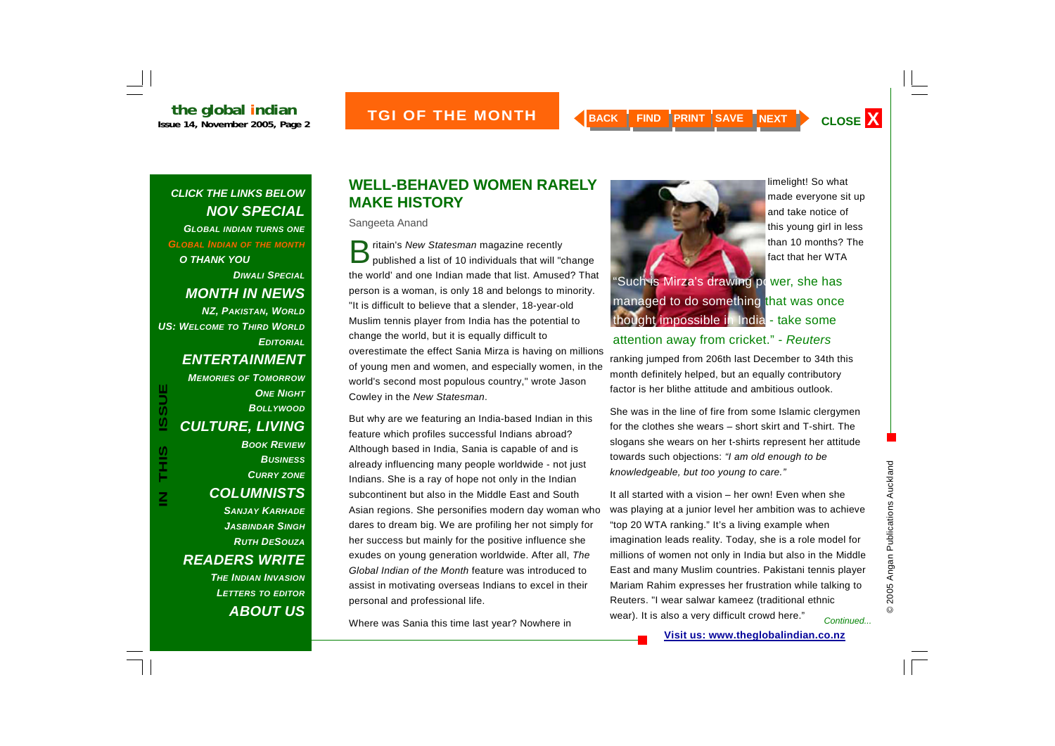#### *CLICK THE LINKS BELOW NOV SPECIAL GLOBAL INDIAN TURNS ONE GLOBAL INDIAN OF THE MONTH O THANK YOUDIWALI SPECIALMONTH IN NEWS NZ, PAKISTAN, WORLD*

*US: WELCOME TO THIRD WORLDEDITORIAL*

**IN THIS ISSUE**

THIS

 $\overline{\mathsf{z}}$ 

**ISSUE** 

#### *ENTERTAINMENT*

*MEMORIES OF TOMORROW***ONE NIGHT** *BOLLYWOODCULTURE, LIVING BOOK REVIEWBUSINESSCURRY ZONE COLUMNISTS SANJAY KARHADEJASBINDAR SINGHRUTH DESOUZAREADERS WRITE THE INDIAN INVASIONLETTERS TO EDITOR ABOUT US*

#### **WELL-BEHAVED WOMEN RARELY MAKE HISTORY**

Sangeeta Anand

**B** ritain's *New Statesman* magazine recently<br>**D** published a list of 10 individuals that will "change the world' and one Indian made that list. Amused? That person is a woman, is only 18 and belongs to minority. "It is difficult to believe that a slender, 18-year-old Muslim tennis player from India has the potential to change the world, but it is equally difficult to overestimate the effect Sania Mirza is having on millions of young men and women, and especially women, in the world's second most populous country," wrote Jason Cowley in the *New Statesman*.

But why are we featuring an India-based Indian in this feature which profiles successful Indians abroad? Although based in India, Sania is capable of and is already influencing many people worldwide - not just Indians. She is a ray of hope not only in the Indian subcontinent but also in the Middle East and South Asian regions. She personifies modern day woman who dares to dream big. We are profiling her not simply for her success but mainly for the positive influence she exudes on young generation worldwide. After all, *The Global Indian of the Month* feature was introduced to assist in motivating overseas Indians to excel in their personal and professional life.

Where was Sania this time last year? Nowhere in



limelight! So what made everyone sit up and take notice of this young girl in less than 10 months? The fact that her WTA

#### attention away from cricket." - *Reuters*

ranking jumped from 206th last December to 34th this month definitely helped, but an equally contributory factor is her blithe attitude and ambitious outlook.

She was in the line of fire from some Islamic clergymen for the clothes she wears – short skirt and T-shirt. The slogans she wears on her t-shirts represent her attitude towards such objections: *"I am old enough to be knowledgeable, but too young to care."* 

It all started with a vision – her own! Even when she was playing at a junior level her ambition was to achieve "top 20 WTA ranking." It's a living example when imagination leads reality. Today, she is a role model for millions of women not only in India but also in the Middle East and many Muslim countries. Pakistani tennis player Mariam Rahim expresses her frustration while talking to Reuters. "I wear salwar kameez (traditional ethnic wear). It is also a very difficult crowd here." *Continued...*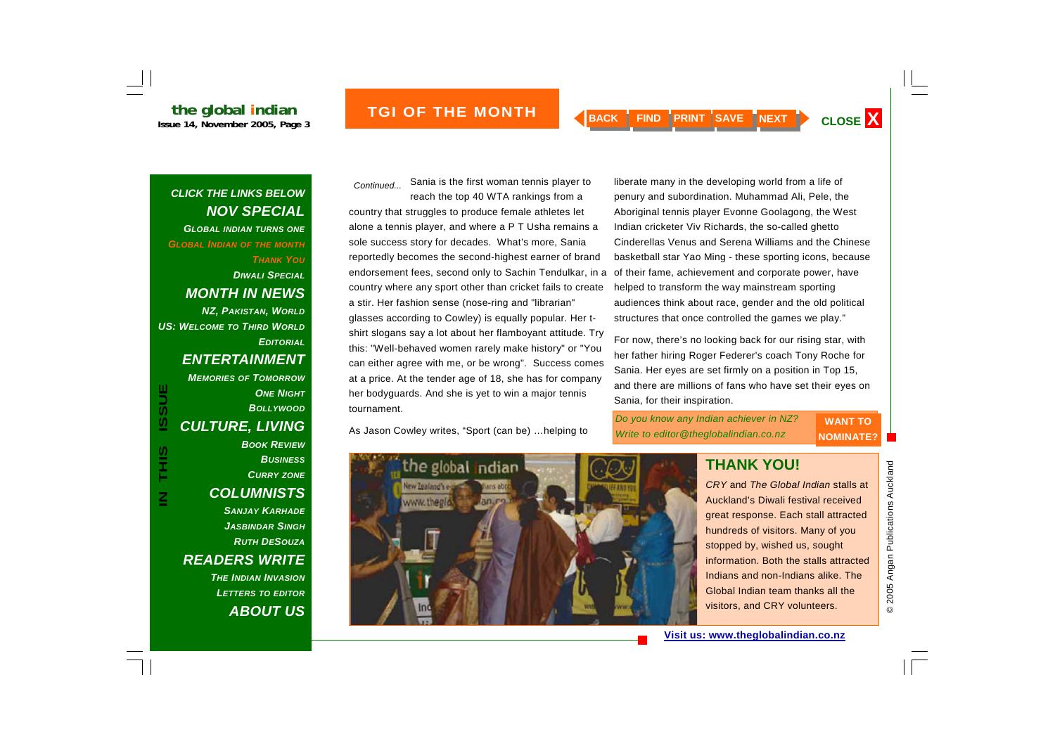# **the global indian**<br> **Issue 14. November 2005. Page 3**

**ISSUE THE MONTH A BACK FIND PRINT SAVE NEXT CLOSE X** 

#### *CLICK THE LINKS BELOW NOV SPECIAL GLOBAL INDIAN TURNS ONE*

*GLOBAL INDIAN OF THE MONTH*

*THANK YOU*

#### *DIWALI SPECIALMONTH IN NEWS*

*NZ, PAKISTAN, WORLD US: WELCOME TO THIRD WORLDEDITORIAL*

#### *ENTERTAINMENT*

*MEMORIES OF TOMORROW***ONE NIGHT** *BOLLYWOODCULTURE, LIVING BOOK REVIEWBUSINESS*

# *CURRY ZONE*

#### *COLUMNISTS*

*SANJAY KARHADEJASBINDAR SINGHRUTH DESOUZAREADERS WRITE THE INDIAN INVASIONLETTERS TO EDITOR*

*ABOUT US*

Sania is the first woman tennis player to reach the top 40 WTA rankings from a *Continued...* 

country that struggles to produce female athletes let alone a tennis player, and where a P T Usha remains a sole success story for decades. What's more, Sania reportedly becomes the second-highest earner of brand endorsement fees, second only to Sachin Tendulkar, in a country where any sport other than cricket fails to create a stir. Her fashion sense (nose-ring and "librarian" glasses according to Cowley) is equally popular. Her tshirt slogans say a lot about her flamboyant attitude. Try this: "Well-behaved women rarely make history" or "You can either agree with me, or be wrong". Success comes at a price. At the tender age of 18, she has for company her bodyguards. And she is yet to win a major tennis tournament.

As Jason Cowley writes, "Sport (can be) …helping to

liberate many in the developing world from a life of penury and subordination. Muhammad Ali, Pele, the Aboriginal tennis player Evonne Goolagong, the West Indian cricketer Viv Richards, the so-called ghetto Cinderellas Venus and Serena Williams and the Chinese basketball star Yao Ming - these sporting icons, because of their fame, achievement and corporate power, have helped to transform the way mainstream sporting audiences think about race, gender and the old political structures that once controlled the games we play."

For now, there's no looking back for our rising star, with her father hiring Roger Federer's coach Tony Roche for Sania. Her eyes are set firmly on a position in Top 15, and there are millions of fans who have set their eyes on Sania, for their inspiration.



#### **THANK YOU!**

*CRY* and *The Global Indian* stalls at Auckland's Diwali festival received great response. Each stall attracted hundreds of visitors. Many of you stopped by, wished us, sought information. Both the stalls attracted Indians and non-Indians alike. The Global Indian team thanks all the visitors, and CRY volunteers.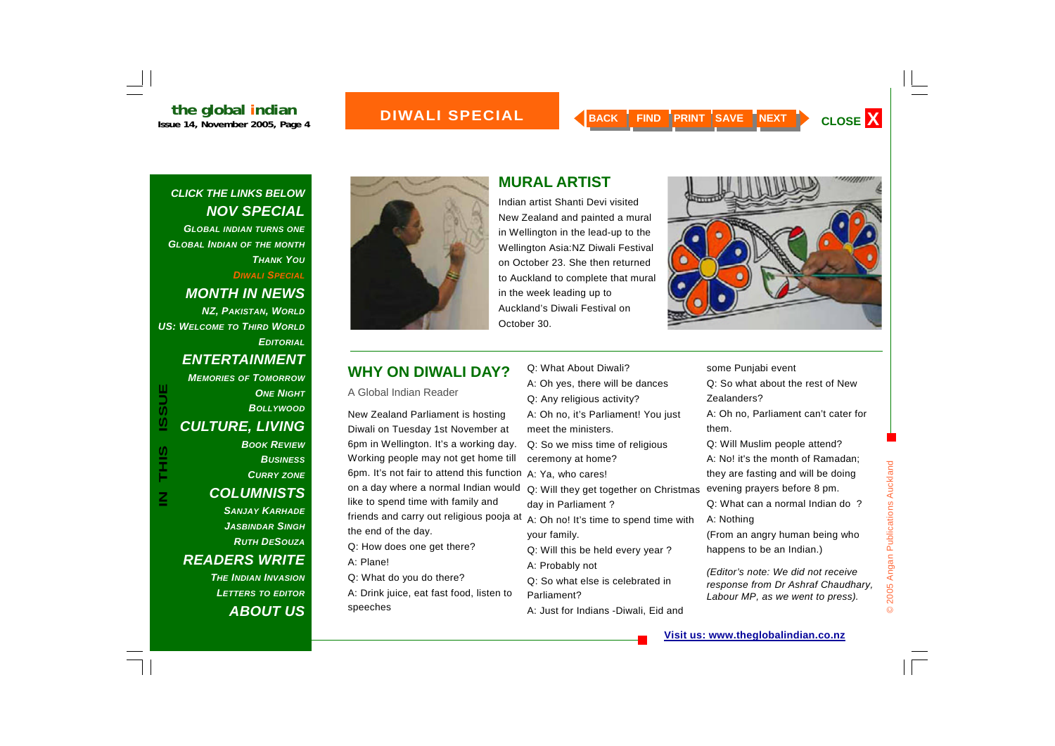# **the global indian**<br>Issue 14, November 2005, Page 4

#### *CLICK THE LINKS BELOW NOV SPECIAL*

*GLOBAL INDIAN TURNS ONE GLOBAL INDIAN OF THE MONTH THANK YOU*

*DIWALI SPECIAL*

#### *MONTH IN NEWS*

*NZ, PAKISTAN, WORLD US: WELCOME TO THIRD WORLDEDITORIAL*

#### *ENTERTAINMENT*

*MEMORIES OF TOMORROW***ONE NIGHT** *BOLLYWOODCULTURE, LIVING BOOK REVIEWBUSINESSCURRY ZONE COLUMNISTS* 

**IN THIS ISSUE**

**SIHL** 

**ISSUE** 

*SANJAY KARHADEJASBINDAR SINGHRUTH DESOUZAREADERS WRITE THE INDIAN INVASION*

*LETTERS TO EDITOR ABOUT US*



**MONTH** 

## **MURAL ARTIST**

Indian artist Shanti Devi visited New Zealand and painted a mural in Wellington in the lead-up to the Wellington Asia:NZ Diwali Festival on October 23. She then returned to Auckland to complete that mural in the week leading up to Auckland's Diwali Festival on October 30.



#### **WHY ON DIWALI DAY?**

A Global Indian Reader

New Zealand Parliament is hosting Diwali on Tuesday 1st November at 6pm in Wellington. It's a working day. Working people may not get home till 6pm. It's not fair to attend this function A: Ya, who cares! on a day where a normal Indian would like to spend time with family and friends and carry out religious pooja at the end of the day.

- Q: How does one get there?
- A: Plane!
- Q: What do you do there?

A: Drink juice, eat fast food, listen to speeches

- Q: What About Diwali? A: Oh yes, there will be dances Q: Any religious activity? A: Oh no, it's Parliament! You just meet the ministers. Q: So we miss time of religious ceremony at home? Q: Will they get together on Christmas day in Parliament ? A: Oh no! It's time to spend time with your family.
- Q: Will this be held every year ?
- A: Probably not

Q: So what else is celebrated in Parliament?

A: Just for Indians -Diwali, Eid and

#### some Punjabi event

Q: So what about the rest of New Zealanders?

A: Oh no, Parliament can't cater for them.

Q: Will Muslim people attend? A: No! it's the month of Ramadan; they are fasting and will be doing evening prayers before 8 pm.

Q: What can a normal Indian do ? A: Nothing

(From an angry human being who happens to be an Indian.)

*(Editor's note: We did not receive response from Dr Ashraf Chaudhary, Labour MP, as we went to press).*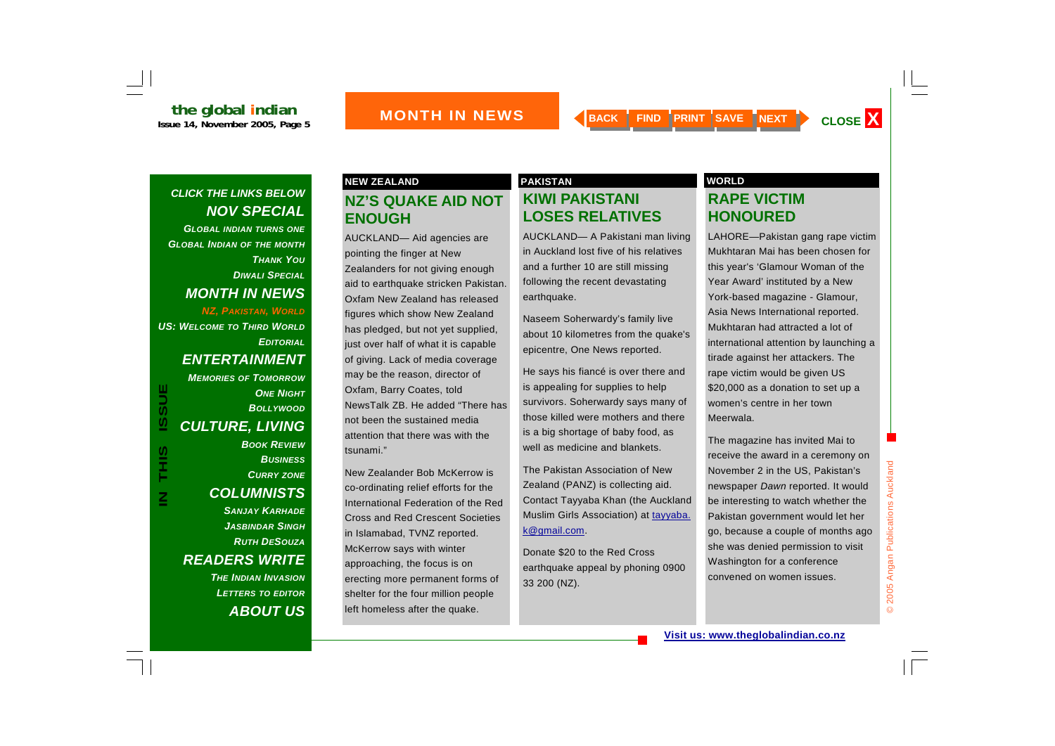*GLOBAL INDIAN TURNS ONE GLOBAL INDIAN OF THE MONTH THANK YOUDIWALI SPECIALMONTH IN NEWS NZ, PAKISTAN, WORLD*

*US: WELCOME TO THIRD WORLDEDITORIAL*

#### *ENTERTAINMENT*

**ISSUE IN THIS ISSUE**THIS  $\overline{\mathsf{z}}$ 

#### *MEMORIES OF TOMORROW***ONE NIGHT** *BOLLYWOODCULTURE, LIVING BOOK REVIEWBUSINESSCURRY ZONE COLUMNISTS SANJAY KARHADEJASBINDAR SINGHRUTH DESOUZAREADERS WRITE*

*THE INDIAN INVASIONLETTERS TO EDITOR ABOUT US*

# **NZ'S QUAKE AID NOT ENOUGH**

AUCKLAND— Aid agencies are pointing the finger at New Zealanders for not giving enough aid to earthquake stricken Pakistan. Oxfam New Zealand has released figures which show New Zealand has pledged, but not yet supplied, just over half of what it is capable of giving. Lack of media coverage may be the reason, director of Oxfam, Barry Coates, told NewsTalk ZB. He added "There has not been the sustained media attention that there was with the tsunami."

New Zealander Bob McKerrow is co-ordinating relief efforts for the International Federation of the Red Cross and Red Crescent Societies in Islamabad, TVNZ reported. McKerrow says with winter approaching, the focus is on erecting more permanent forms of shelter for the four million people left homeless after the quake.

#### **KIWI PAKISTANI LOSES RELATIVES NEW ZEALAND PAKISTAN PAKISTAN WORLD**

AUCKLAND— A Pakistani man living in Auckland lost five of his relatives and a further 10 are still missing following the recent devastating earthquake.

Naseem Soherwardy's family live about 10 kilometres from the quake's epicentre, One News reported.

He says his fiancé is over there and is appealing for supplies to help survivors. Soherwardy says many of those killed were mothers and there is a big shortage of baby food, as well as medicine and blankets.

The Pakistan Association of New Zealand (PANZ) is collecting aid. Contact Tayyaba Khan (the Auckland Muslim Girls Association) at tayyaba. k@gmail.com.

Donate \$20 to the Red Cross earthquake appeal by phoning 0900 33 200 (NZ).

#### **RAPE VICTIM HONOURED**

LAHORE—Pakistan gang rape victim Mukhtaran Mai has been chosen for this year's 'Glamour Woman of the Year Award' instituted by a New York-based magazine - Glamour, Asia News International reported. Mukhtaran had attracted a lot of international attention by launching a tirade against her attackers. The rape victim would be given US \$20,000 as a donation to set up a women's centre in her town Meerwala.

The magazine has invited Mai to receive the award in a ceremony on November 2 in the US, Pakistan's newspaper *Dawn* reported. It would be interesting to watch whether the Pakistan government would let her go, because a couple of months ago she was denied permission to visit Washington for a conference convened on women issues.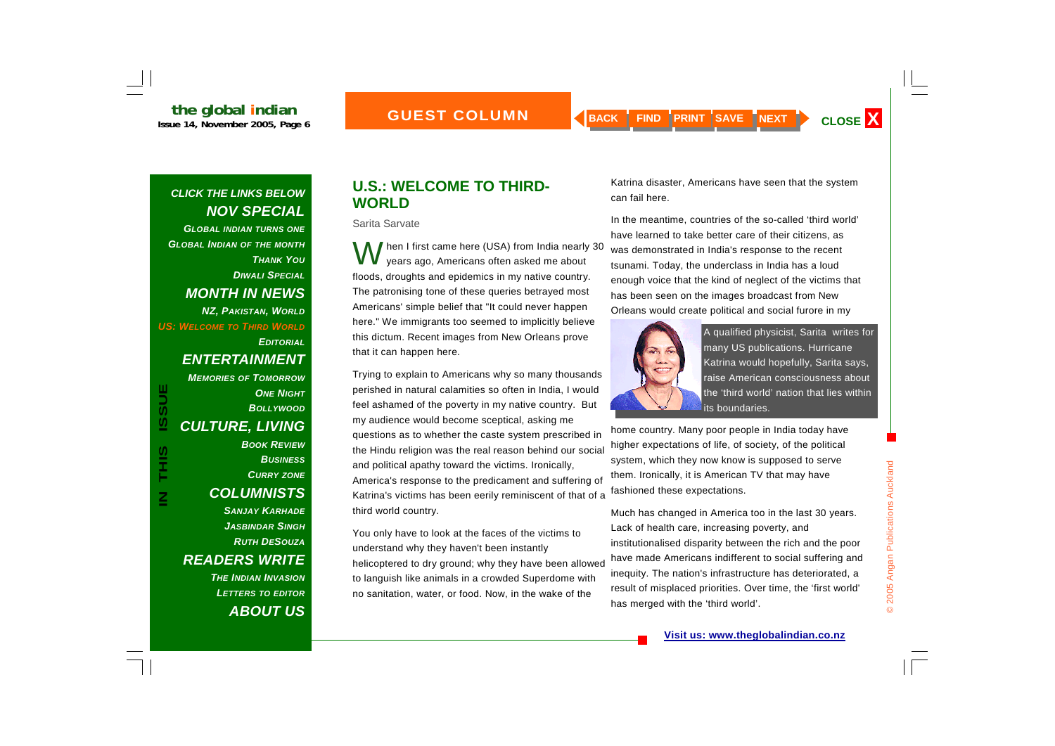*GLOBAL INDIAN TURNS ONE GLOBAL INDIAN OF THE MONTH THANK YOUDIWALI SPECIALMONTH IN NEWS NZ, PAKISTAN, WORLD US: WELCOME TO THIRD WORLDEDITORIAL*

#### *ENTERTAINMENT*

*MEMORIES OF TOMORROW***ONE NIGHT** *BOLLYWOODCULTURE, LIVING BOOK REVIEWBUSINESSCURRY ZONE COLUMNISTS SANJAY KARHADEJASBINDAR SINGHRUTH DESOUZAREADERS WRITE* 

**IN THIS ISSUE**

THIS

 $\overline{\mathsf{z}}$ 

**ISSUE** 

*THE INDIAN INVASIONLETTERS TO EDITOR ABOUT US*

#### **U.S.: WELCOME TO THIRD-WORLD**

Sarita Sarvate

hen I first came here (USA) from India nearly 30 years ago, Americans often asked me about floods, droughts and epidemics in my native country. The patronising tone of these queries betrayed most Americans' simple belief that "It could never happen here." We immigrants too seemed to implicitly believe this dictum. Recent images from New Orleans prove that it can happen here.

Trying to explain to Americans why so many thousands perished in natural calamities so often in India, I would feel ashamed of the poverty in my native country. But my audience would become sceptical, asking me questions as to whether the caste system prescribed in the Hindu religion was the real reason behind our social and political apathy toward the victims. Ironically, America's response to the predicament and suffering of Katrina's victims has been eerily reminiscent of that of a third world country.

You only have to look at the faces of the victims to understand why they haven't been instantly helicoptered to dry ground; why they have been allowed to languish like animals in a crowded Superdome with no sanitation, water, or food. Now, in the wake of the

Katrina disaster, Americans have seen that the system can fail here.

In the meantime, countries of the so-called 'third world' have learned to take better care of their citizens, as was demonstrated in India's response to the recent tsunami. Today, the underclass in India has a loud enough voice that the kind of neglect of the victims that has been seen on the images broadcast from New Orleans would create political and social furore in my



A qualified physicist, Sarita writes for many US publications. Hurricane Katrina would hopefully, Sarita says, raise American consciousness about the 'third world' nation that lies within its boundaries.

home country. Many poor people in India today have higher expectations of life, of society, of the political system, which they now know is supposed to serve them. Ironically, it is American TV that may have fashioned these expectations.

Much has changed in America too in the last 30 years. Lack of health care, increasing poverty, and institutionalised disparity between the rich and the poor have made Americans indifferent to social suffering and inequity. The nation's infrastructure has deteriorated, a result of misplaced priorities. Over time, the 'first world' has merged with the 'third world'.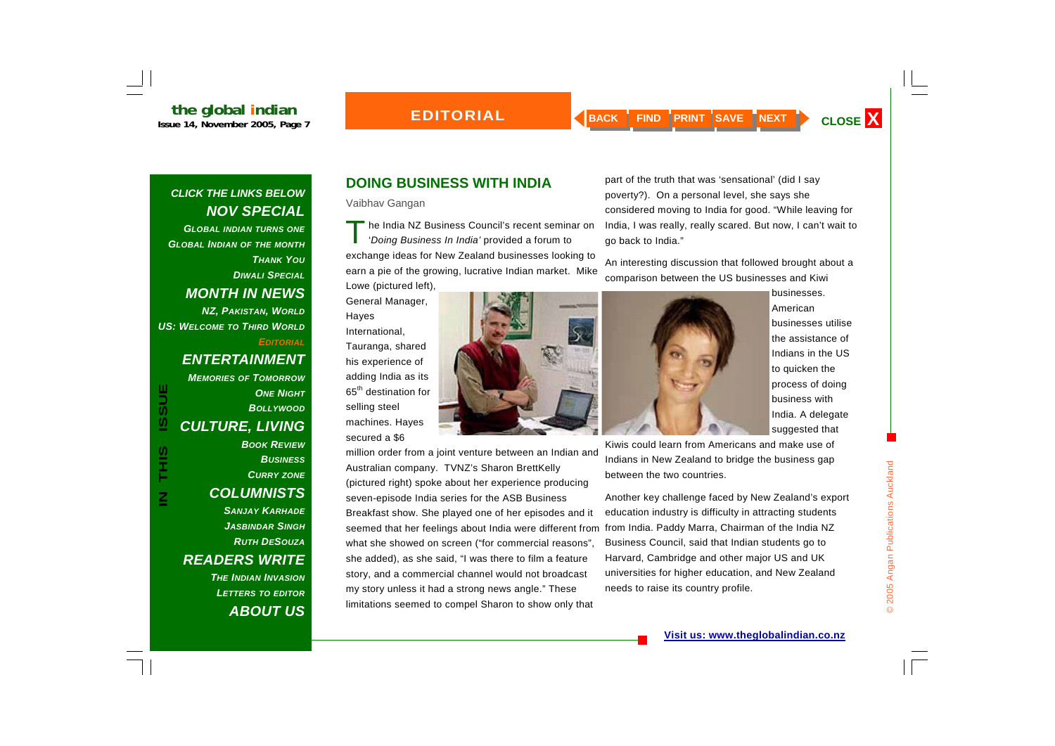#### **EDITORIAL**

#### *CLICK THE LINKS BELOW NOV SPECIAL*

*GLOBAL INDIAN TURNS ONE GLOBAL INDIAN OF THE MONTH THANK YOUDIWALI SPECIALMONTH IN NEWS NZ, PAKISTAN, WORLD US: WELCOME TO THIRD WORLDEDITORIAL*

*ENTERTAINMENT* 

*MEMORIES OF TOMORROW*

**ISSUE IN THIS ISSUE SIHL**  $\overline{\textbf{z}}$ 

#### **ONE NIGHT** *BOLLYWOODCULTURE, LIVING BOOK REVIEW*

*BUSINESSCURRY ZONE COLUMNISTS SANJAY KARHADEJASBINDAR SINGHRUTH DESOUZAREADERS WRITE THE INDIAN INVASION*

*LETTERS TO EDITOR ABOUT US*

#### **DOING BUSINESS WITH INDIA**

Vaibhav Gangan

The India NZ Business Council's recent seminar on '*Doing Business In India'* provided a forum to exchange ideas for New Zealand businesses looking to earn a pie of the growing, lucrative Indian market. Mike Lowe (pictured left),

General Manager, Hayes International, Tauranga, shared his experience of adding India as its 65th destination for selling steel machines. Hayes

secured a \$6

million order from a joint venture between an Indian and Australian company. TVNZ's Sharon BrettKelly (pictured right) spoke about her experience producing seven-episode India series for the ASB Business Breakfast show. She played one of her episodes and it seemed that her feelings about India were different from from India. Paddy Marra, Chairman of the India NZ what she showed on screen ("for commercial reasons", she added), as she said, "I was there to film a feature story, and a commercial channel would not broadcast my story unless it had a strong news angle." These limitations seemed to compel Sharon to show only that

part of the truth that was 'sensational' (did I say poverty?). On a personal level, she says she considered moving to India for good. "While leaving for India, I was really, really scared. But now, I can't wait to go back to India."

An interesting discussion that followed brought about a comparison between the US businesses and Kiwi



businesses. American businesses utilise the assistance of Indians in the US to quicken the process of doing business with India. A delegate suggested that

Kiwis could learn from Americans and make use of Indians in New Zealand to bridge the business gap between the two countries.

Another key challenge faced by New Zealand's export education industry is difficulty in attracting students Business Council, said that Indian students go to Harvard, Cambridge and other major US and UK universities for higher education, and New Zealand needs to raise its country profile.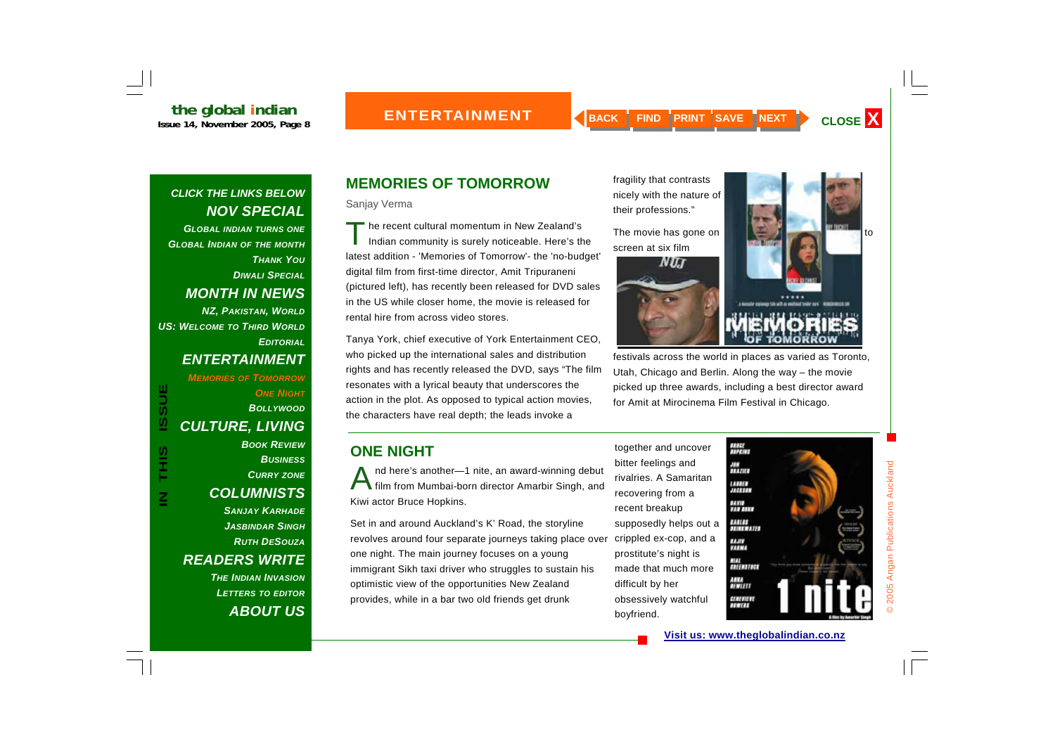*GLOBAL INDIAN TURNS ONE GLOBAL INDIAN OF THE MONTH THANK YOUDIWALI SPECIALMONTH IN NEWS NZ, PAKISTAN, WORLD US: WELCOME TO THIRD WORLDEDITORIAL*

#### *ENTERTAINMENT*

*MEMORIES OF TOMORROW*

**ONE NIGHT** 

*BOLLYWOODCULTURE, LIVING BOOK REVIEWBUSINESSCURRY ZONE COLUMNISTS SANJAY KARHADE*

*JASBINDAR SINGHRUTH DESOUZAREADERS WRITE THE INDIAN INVASION*

*LETTERS TO EDITOR ABOUT US*

# **MEMORIES OF TOMORROW**

Sanjay Verma

The recent cultural momentum in New Zealand's<br>Indian community is surely noticeable. Here's the latest addition - 'Memories of Tomorrow'- the 'no-budget' digital film from first-time director, Amit Tripuraneni (pictured left), has recently been released for DVD sales in the US while closer home, the movie is released for rental hire from across video stores.

Tanya York, chief executive of York Entertainment CEO, who picked up the international sales and distribution rights and has recently released the DVD, says "The film resonates with a lyrical beauty that underscores the action in the plot. As opposed to typical action movies, the characters have real depth; the leads invoke a

## **ONE NIGHT**

nd here's another—1 nite, an award-winning debut<br>film from Mumbai-born director Amarbir Singh, and Kiwi actor Bruce Hopkins.

Set in and around Auckland's K' Road, the storyline revolves around four separate journeys taking place over one night. The main journey focuses on a young immigrant Sikh taxi driver who struggles to sustain his optimistic view of the opportunities New Zealand provides, while in a bar two old friends get drunk

together and uncover bitter feelings and rivalries. A Samaritan recovering from a recent breakup supposedly helps out a crippled ex-cop, and a prostitute's night is made that much more difficult by her obsessively watchful boyfriend.



festivals across the world in places as varied as Toronto, Utah, Chicago and Berlin. Along the way – the movie picked up three awards, including a best director award for Amit at Mirocinema Film Festival in Chicago.

> #解 AM<br>HAZIER LAVART<br>JAGERIAN иш **717 1977** EARLOS<br>DECOEVAIES **HJIV** 71**1V** È EREERSTOCK  $\frac{4004}{4000000}$ elativati<br>Atomika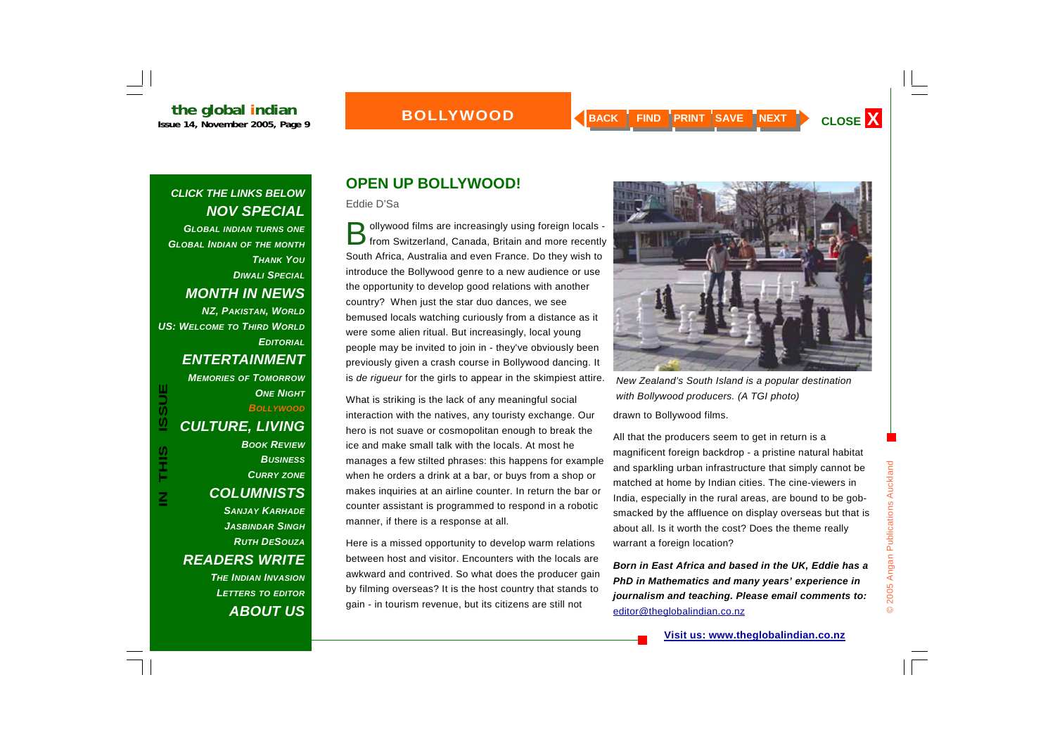#### **BOLLYWOOD**

#### *CLICK THE LINKS BELOW NOV SPECIAL*

*GLOBAL INDIAN TURNS ONE GLOBAL INDIAN OF THE MONTH THANK YOUDIWALI SPECIALMONTH IN NEWS NZ, PAKISTAN, WORLD US: WELCOME TO THIRD WORLDEDITORIAL*

#### *ENTERTAINMENT*

*MEMORIES OF TOMORROW***ONE NIGHT** *BOLLYWOOD*

**IN THIS ISSUE**

S<br>H<br>H<br>H

**ISSUE** 

*CULTURE, LIVING BOOK REVIEWBUSINESSCURRY ZONE COLUMNISTS SANJAY KARHADEJASBINDAR SINGHRUTH DESOUZAREADERS WRITE THE INDIAN INVASIONLETTERS TO EDITOR ABOUT US*

# **OPEN UP BOLLYWOOD!**

Eddie D'Sa

ollywood films are increasingly using foreign locals -<br>from Switzerland, Canada, Britain and more recently South Africa, Australia and even France. Do they wish to introduce the Bollywood genre to a new audience or use the opportunity to develop good relations with another country? When just the star duo dances, we see bemused locals watching curiously from a distance as it were some alien ritual. But increasingly, local young people may be invited to join in - they've obviously been previously given a crash course in Bollywood dancing. It is *de rigueur* for the girls to appear in the skimpiest attire.

What is striking is the lack of any meaningful social interaction with the natives, any touristy exchange. Our hero is not suave or cosmopolitan enough to break the ice and make small talk with the locals. At most he manages a few stilted phrases: this happens for example when he orders a drink at a bar, or buys from a shop or makes inquiries at an airline counter. In return the bar or counter assistant is programmed to respond in a robotic manner, if there is a response at all.

Here is a missed opportunity to develop warm relations between host and visitor. Encounters with the locals are awkward and contrived. So what does the producer gain by filming overseas? It is the host country that stands to gain - in tourism revenue, but its citizens are still not



drawn to Bollywood films. *New Zealand's South Island is a popular destination with Bollywood producers. (A TGI photo)*

All that the producers seem to get in return is a magnificent foreign backdrop - a pristine natural habitat and sparkling urban infrastructure that simply cannot be matched at home by Indian cities. The cine-viewers in India, especially in the rural areas, are bound to be gobsmacked by the affluence on display overseas but that is about all. Is it worth the cost? Does the theme really warrant a foreign location?

*Born in East Africa and based in the UK, Eddie has a PhD in Mathematics and many years' experience in journalism and teaching. Please email comments to:*  editor@theglobalindian.co.nz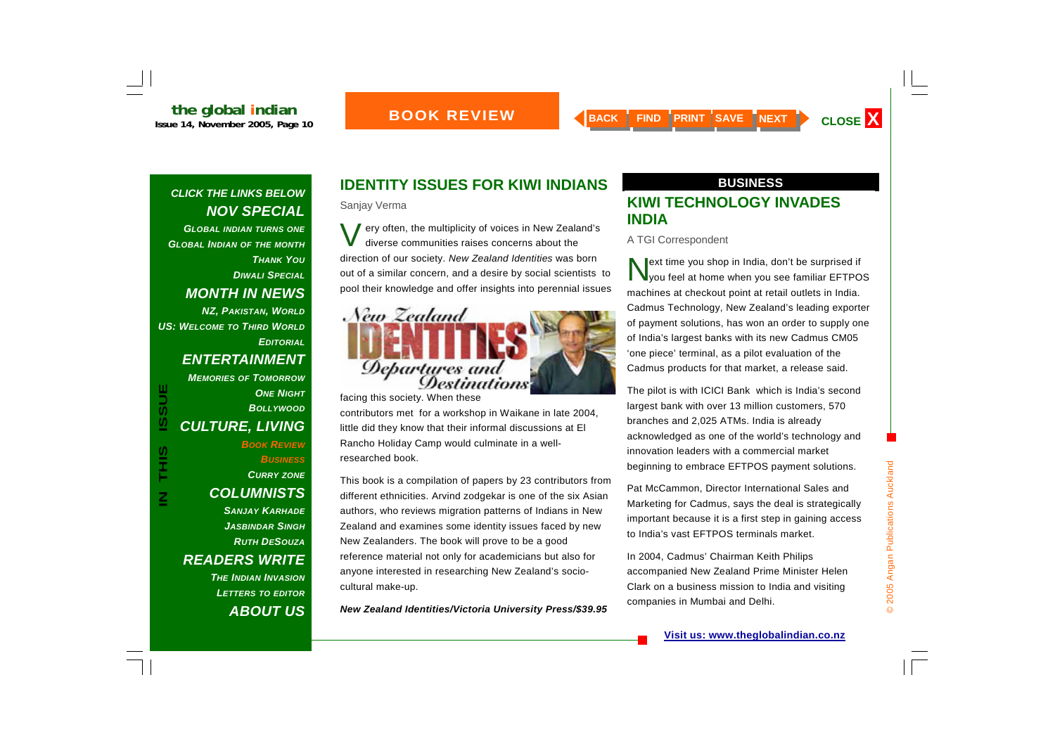#### **BOOK REVIEW**

#### *CLICK THE LINKS BELOW NOV SPECIAL*

*GLOBAL INDIAN TURNS ONE GLOBAL INDIAN OF THE MONTH THANK YOUDIWALI SPECIALMONTH IN NEWS NZ, PAKISTAN, WORLD*

*US: WELCOME TO THIRD WORLDEDITORIAL*

#### *ENTERTAINMENT*

#### *MEMORIES OF TOMORROW***ONE NIGHT** *BOLLYWOODCULTURE, LIVING BOOK REVIEWBUSINESSCURRY ZONE*

*COLUMNISTS SANJAY KARHADE JASBINDAR SINGHRUTH DESOUZAREADERS WRITE THE INDIAN INVASIONLETTERS TO EDITOR ABOUT US*

## **IDENTITY ISSUES FOR KIWI INDIANS**

Sanjay Verma

Very often, the multiplicity of voices in New Zealand's diverse communities raises concerns about the direction of our society. *New Zealand Identities* was born out of a similar concern, and a desire by social scientists to pool their knowledge and offer insights into perennial issues



facing this society. When these contributors met for a workshop in Waikane in late 2004, little did they know that their informal discussions at El Rancho Holiday Camp would culminate in a wellresearched book.

This book is a compilation of papers by 23 contributors from different ethnicities. Arvind zodgekar is one of the six Asian authors, who reviews migration patterns of Indians in New Zealand and examines some identity issues faced by new New Zealanders. The book will prove to be a good reference material not only for academicians but also for anyone interested in researching New Zealand's sociocultural make-up.

*New Zealand Identities/Victoria University Press/\$39.95*

#### **BUSINESS**

#### **KIWI TECHNOLOGY INVADES INDIA**

A TGI Correspondent

ext time you shop in India, don't be surprised if<br>you feel at home when you see familiar EFTPOS machines at checkout point at retail outlets in India. Cadmus Technology, New Zealand's leading exporter of payment solutions, has won an order to supply one of India's largest banks with its new Cadmus CM05 'one piece' terminal, as a pilot evaluation of the Cadmus products for that market, a release said.

The pilot is with ICICI Bank which is India's second largest bank with over 13 million customers, 570 branches and 2,025 ATMs. India is already acknowledged as one of the world's technology and innovation leaders with a commercial market beginning to embrace EFTPOS payment solutions.

Pat McCammon, Director International Sales and Marketing for Cadmus, says the deal is strategically important because it is a first step in gaining access to India's vast EFTPOS terminals market.

In 2004, Cadmus' Chairman Keith Philips accompanied New Zealand Prime Minister Helen Clark on a business mission to India and visiting companies in Mumbai and Delhi.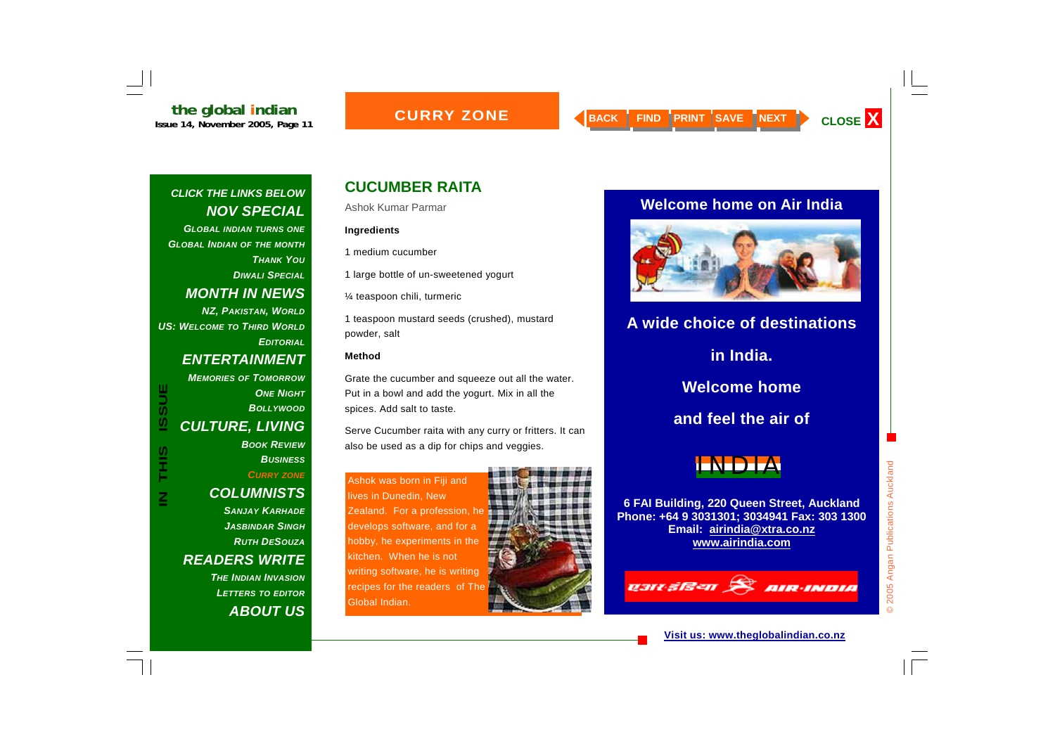#### **CURRY ZONE**

#### *CLICK THE LINKS BELOW NOV SPECIAL*

*GLOBAL INDIAN TURNS ONE GLOBAL INDIAN OF THE MONTH THANK YOUDIWALI SPECIALMONTH IN NEWS* 

*NZ, PAKISTAN, WORLD US: WELCOME TO THIRD WORLDEDITORIAL*

#### *ENTERTAINMENT*

*MEMORIES OF TOMORROW***ONE NIGHT** *BOLLYWOODCULTURE, LIVING BOOK REVIEWBUSINESSCURRY ZONE*

**IN THIS ISSUE**

S<br>H<br>H

**ISSUE** 

#### *SANJAY KARHADEJASBINDAR SINGHRUTH DESOUZAREADERS WRITE*

*THE INDIAN INVASIONLETTERS TO EDITOR ABOUT US*

## **CUCUMBER RAITA**

Ashok Kumar Parmar

#### **Ingredients**

1 medium cucumber

1 large bottle of un-sweetened yogurt

¼ teaspoon chili, turmeric

1 teaspoon mustard seeds (crushed), mustard powder, salt

#### **Method**

Grate the cucumber and squeeze out all the water. Put in a bowl and add the yogurt. Mix in all the spices. Add salt to taste.

Serve Cucumber raita with any curry or fritters. It can also be used as a dip for chips and veggies.

Ashok was born in Fiji and lives in Dunedin, New Zealand. For a profession, he develops software, and for a hobby, he experiments in the kitchen. When he is not writing software, he is writing recipes for the readers of The Global Indian.



#### **Welcome home on Air India**



# **A wide choice of destinations in India. Welcome home and feel the air of**



**6 FAI Building, 220 Queen Street, Auckland Phone: +64 9 3031301; 3034941 Fax: 303 1300 Email: airindia@xtra.co.nz www.airindia.com**

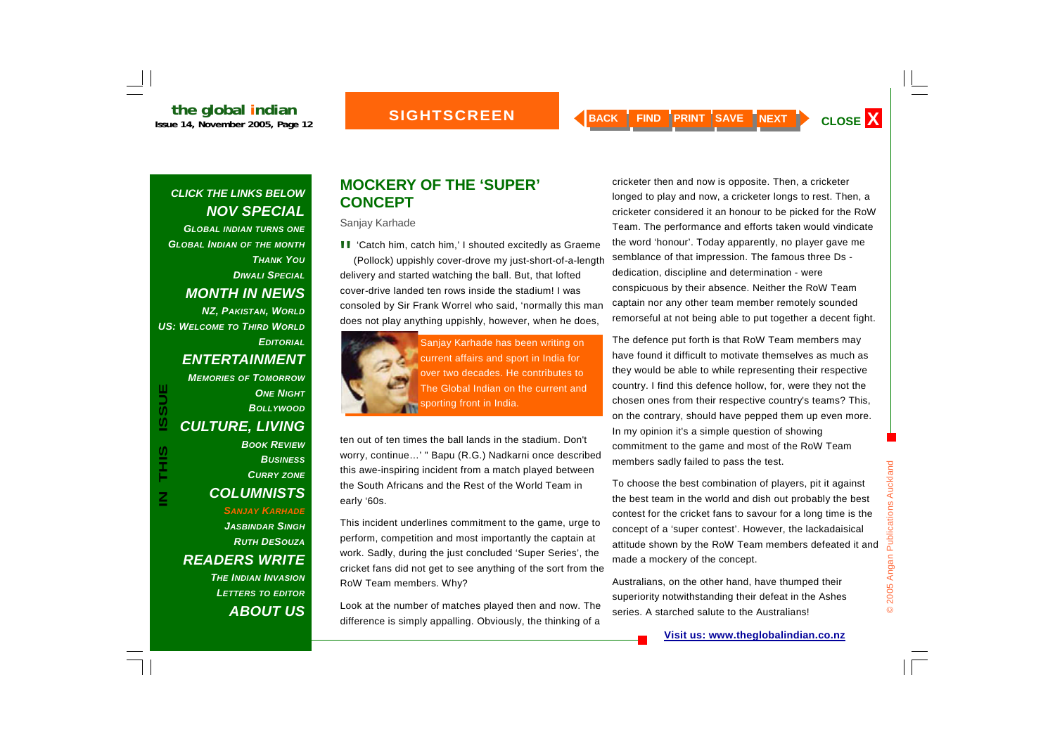**the global indian**<br>Issue 14, November 2005, Page 12

*GLOBAL INDIAN TURNS ONE GLOBAL INDIAN OF THE MONTH THANK YOUDIWALI SPECIALMONTH IN NEWS NZ, PAKISTAN, WORLD US: WELCOME TO THIRD WORLD*

#### *ENTERTAINMENT*

*EDITORIAL*

*MEMORIES OF TOMORROW***ONE NIGHT** *BOLLYWOOD CULTURE, LIVING BOOK REVIEWBUSINESSCURRY ZONE COLUMNISTS SANJAY KARHADE*

*JASBINDAR SINGHRUTH DESOUZAREADERS WRITE THE INDIAN INVASIONLETTERS TO EDITOR*

*ABOUT US*

#### **MOCKERY OF THE 'SUPER' CONCEPT**

Sanjay Karhade

**II** 'Catch him, catch him,' I shouted excitedly as Graeme (Pollock) uppishly cover-drove my just-short-of-a-length delivery and started watching the ball. But, that lofted cover-drive landed ten rows inside the stadium! I was consoled by Sir Frank Worrel who said, 'normally this man does not play anything uppishly, however, when he does,



Sanjay Karhade has been writing on current affairs and sport in India for over two decades. He contributes to The Global Indian on the current and sporting front in India.

ten out of ten times the ball lands in the stadium. Don't worry, continue…' " Bapu (R.G.) Nadkarni once described this awe-inspiring incident from a match played between the South Africans and the Rest of the World Team in early '60s.

This incident underlines commitment to the game, urge to perform, competition and most importantly the captain at work. Sadly, during the just concluded 'Super Series', the cricket fans did not get to see anything of the sort from the RoW Team members. Why?

Look at the number of matches played then and now. The difference is simply appalling. Obviously, the thinking of a

cricketer then and now is opposite. Then, a cricketer longed to play and now, a cricketer longs to rest. Then, a cricketer considered it an honour to be picked for the RoW Team. The performance and efforts taken would vindicate the word 'honour'. Today apparently, no player gave me semblance of that impression. The famous three Ds dedication, discipline and determination - were conspicuous by their absence. Neither the RoW Team captain nor any other team member remotely sounded remorseful at not being able to put together a decent fight.

The defence put forth is that RoW Team members may have found it difficult to motivate themselves as much as they would be able to while representing their respective country. I find this defence hollow, for, were they not the chosen ones from their respective country's teams? This, on the contrary, should have pepped them up even more. In my opinion it's a simple question of showing commitment to the game and most of the RoW Team members sadly failed to pass the test.

To choose the best combination of players, pit it against the best team in the world and dish out probably the best contest for the cricket fans to savour for a long time is the concept of a 'super contest'. However, the lackadaisical attitude shown by the RoW Team members defeated it and made a mockery of the concept.

© 2005 Angan Publications Auckland

© 2005 Angan Publications Auckland

Australians, on the other hand, have thumped their superiority notwithstanding their defeat in the Ashes series. A starched salute to the Australians!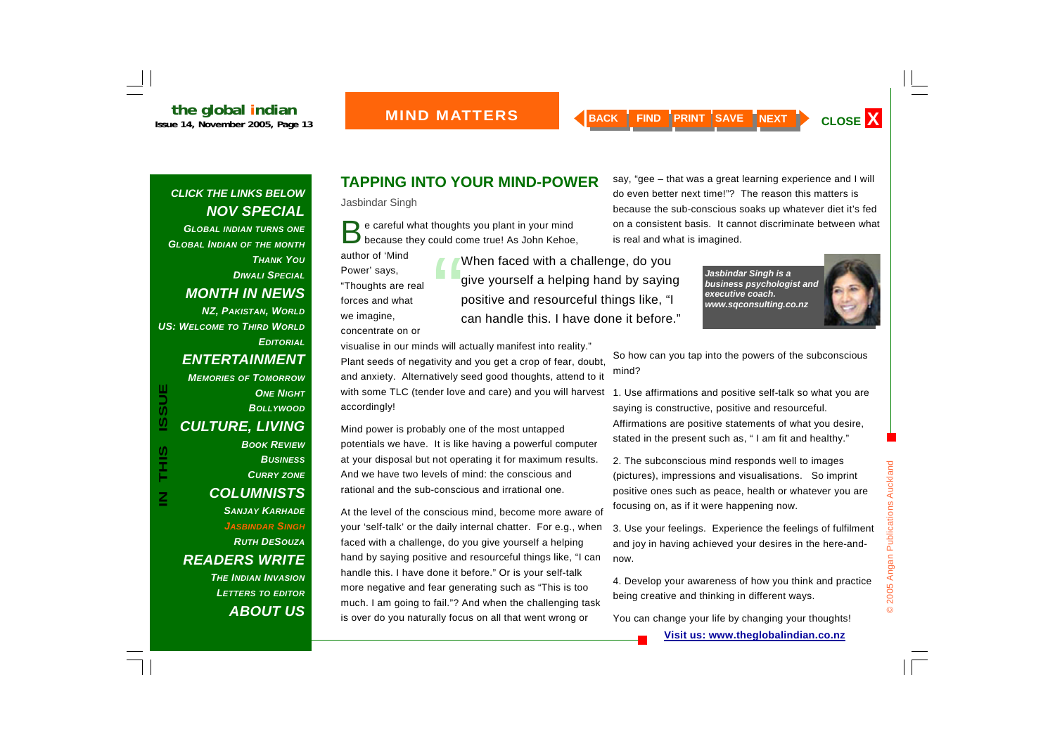*GLOBAL INDIAN TURNS ONE GLOBAL INDIAN OF THE MONTH THANK YOUDIWALI SPECIALMONTH IN NEWS NZ, PAKISTAN, WORLD US: WELCOME TO THIRD WORLDEDITORIAL*

#### *ENTERTAINMENT*

*MEMORIES OF TOMORROW***ONE NIGHT** *BOLLYWOODCULTURE, LIVING BOOK REVIEW*

*BUSINESSCURRY ZONE COLUMNISTS SANJAY KARHADEJASBINDAR SINGHRUTH DESOUZAREADERS WRITE THE INDIAN INVASION*

*LETTERS TO EDITOR ABOUT US*

### **TAPPING INTO YOUR MIND-POWER**

Jasbindar Singh

e careful what thoughts you plant in your mind<br>because they could come true! As John Kehoe,

author of 'Mind Power' says, "Thoughts are real forces and what we imagine,

concentrate on or

"When faced with a challenge, do you give yourself a helping hand by saying positive and resourceful things like, "I can handle this. I have done it before."

visualise in our minds will actually manifest into reality." Plant seeds of negativity and you get a crop of fear, doubt, and anxiety. Alternatively seed good thoughts, attend to it with some TLC (tender love and care) and you will harvest accordingly!

Mind power is probably one of the most untapped potentials we have. It is like having a powerful computer at your disposal but not operating it for maximum results. And we have two levels of mind: the conscious and rational and the sub-conscious and irrational one.

At the level of the conscious mind, become more aware of your 'self-talk' or the daily internal chatter. For e.g., when faced with a challenge, do you give yourself a helping hand by saying positive and resourceful things like, "I can handle this. I have done it before." Or is your self-talk more negative and fear generating such as "This is too much. I am going to fail."? And when the challenging task is over do you naturally focus on all that went wrong or

say, "gee – that was a great learning experience and I will do even better next time!"? The reason this matters is because the sub-conscious soaks up whatever diet it's fed on a consistent basis. It cannot discriminate between what is real and what is imagined.

> *Jasbindar Singh is a business psychologist and executive coach. www.sqconsulting.co.nz*

So how can you tap into the powers of the subconscious mind?

1. Use affirmations and positive self-talk so what you are saying is constructive, positive and resourceful. Affirmations are positive statements of what you desire, stated in the present such as, " I am fit and healthy."

2. The subconscious mind responds well to images (pictures), impressions and visualisations. So imprint positive ones such as peace, health or whatever you are focusing on, as if it were happening now.

3. Use your feelings. Experience the feelings of fulfilment and joy in having achieved your desires in the here-andnow.

4. Develop your awareness of how you think and practice being creative and thinking in different ways.

You can change your life by changing your thoughts!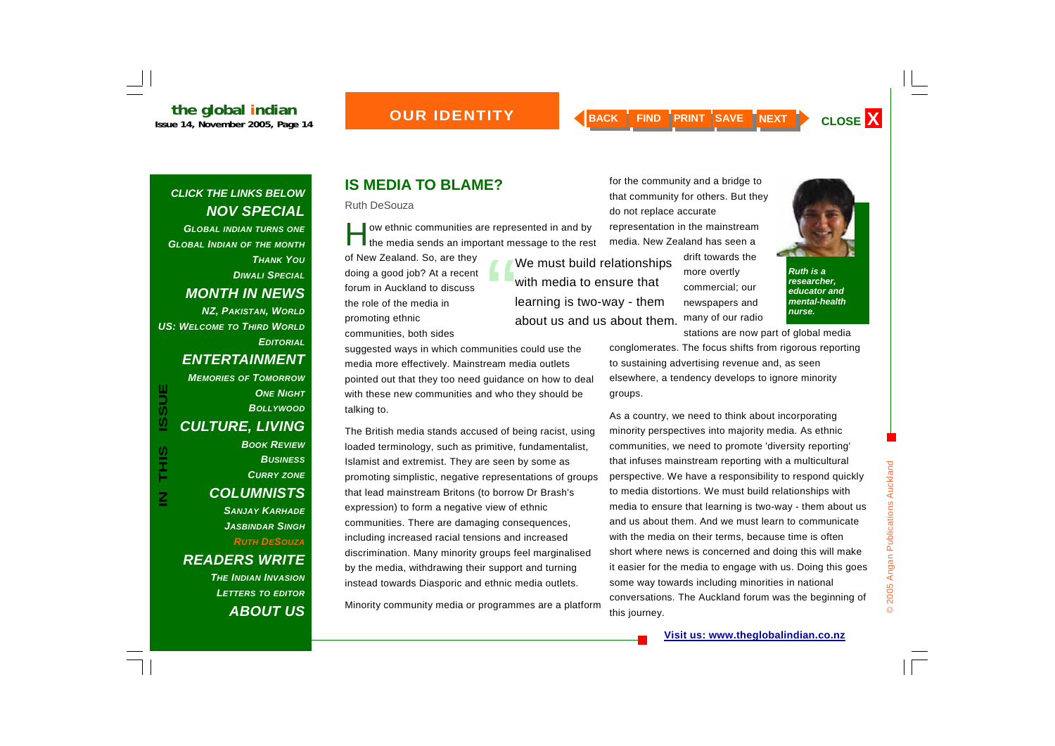*GLOBAL INDIAN TURNS ONE GLOBAL INDIAN OF THE MONTH THANK YOUDIWALI SPECIALMONTH IN NEWS NZ, PAKISTAN, WORLD US: WELCOME TO THIRD WORLDEDITORIAL*

#### *ENTERTAINMENT*

*MEMORIES OF TOMORROW***ONE NIGHT** *BOLLYWOODCULTURE, LIVING BOOK REVIEW*

**IN THIS ISSUE**

**SIHL** 

 $\overline{\textbf{z}}$ 

**ISSUE** 

# *BUSINESSCURRY ZONE COLUMNISTS SANJAY KARHADEJASBINDAR SINGHRUTH DESOUZAREADERS WRITE*

*THE INDIAN INVASIONLETTERS TO EDITOR ABOUT US*

# **IS MEDIA TO BLAME?**

Ruth DeSouza

I ow ethnic communities are represented in and by<br>The media sends an important message to the rest

of New Zealand. So, are they doing a good job? At a recent forum in Auckland to discuss the role of the media in promoting ethnic communities, both sides

learning is two-way - them about us and us about them.

suggested ways in which communities could use the media more effectively. Mainstream media outlets pointed out that they too need guidance on how to deal with these new communities and who they should be talking to.

The British media stands accused of being racist, using loaded terminology, such as primitive, fundamentalist, Islamist and extremist. They are seen by some as promoting simplistic, negative representations of groups that lead mainstream Britons (to borrow Dr Brash's expression) to form a negative view of ethnic communities. There are damaging consequences, including increased racial tensions and increased discrimination. Many minority groups feel marginalised by the media, withdrawing their support and turning instead towards Diasporic and ethnic media outlets.

Minority community media or programmes are a platform

for the community and a bridge to that community for others. But they do not replace accurate representation in the mainstream media. New Zealand has seen a

We must build relationships<br>with media to ensure that

drift towards the more overtly commercial; our newspapers and many of our radio



*Ruth is a researcher, educator and mental-health nurse.* 

stations are now part of global media conglomerates. The focus shifts from rigorous reporting to sustaining advertising revenue and, as seen elsewhere, a tendency develops to ignore minority groups.

As a country, we need to think about incorporating minority perspectives into majority media. As ethnic communities, we need to promote 'diversity reporting' that infuses mainstream reporting with a multicultural perspective. We have a responsibility to respond quickly to media distortions. We must build relationships with media to ensure that learning is two-way - them about us and us about them. And we must learn to communicate with the media on their terms, because time is often short where news is concerned and doing this will make it easier for the media to engage with us. Doing this goes some way towards including minorities in national conversations. The Auckland forum was the beginning of this journey.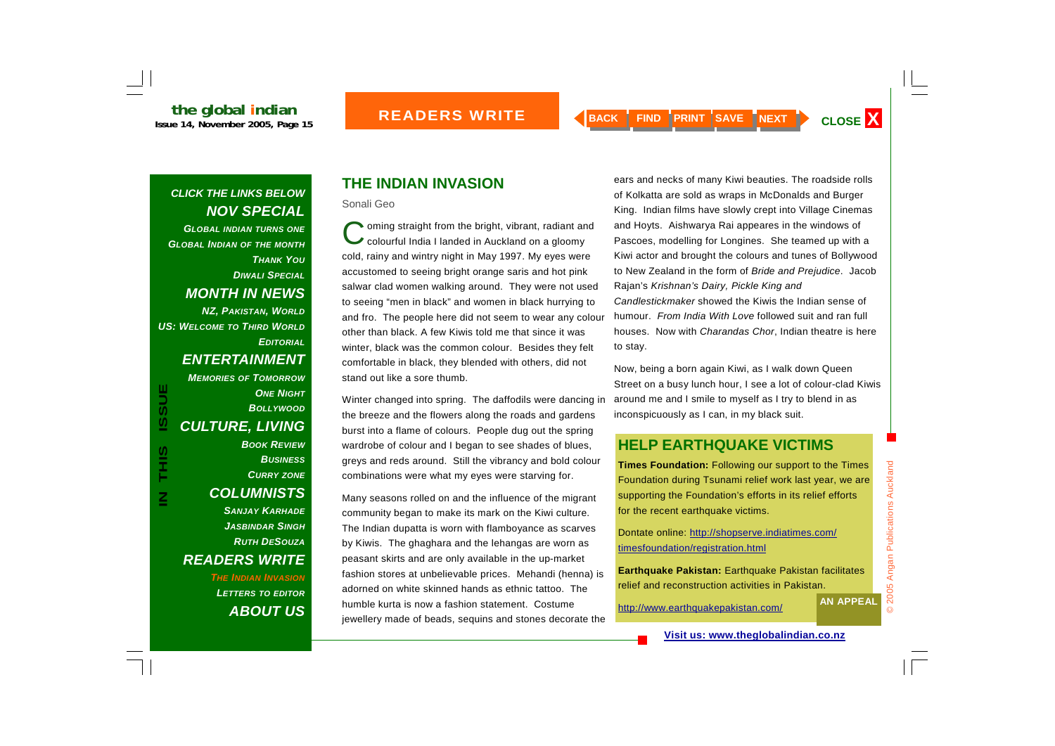*GLOBAL INDIAN TURNS ONE GLOBAL INDIAN OF THE MONTH THANK YOUDIWALI SPECIALMONTH IN NEWS NZ, PAKISTAN, WORLD US: WELCOME TO THIRD WORLDEDITORIAL*

#### *ENTERTAINMENT*

*MEMORIES OF TOMORROW***ONE NIGHT** *BOLLYWOODCULTURE, LIVING BOOK REVIEWBUSINESSCURRY ZONE COLUMNISTS SANJAY KARHADEJASBINDAR SINGHRUTH DESOUZAREADERS WRITE* 

**IN THIS ISSUE**

**SIHL** 

 $\overline{\mathsf{z}}$ 

**ISSUE** 

*THE INDIAN INVASIONLETTERS TO EDITOR ABOUT US*

# **THE INDIAN INVASION**

Sonali Geo

Coming straight from the bright, vibrant, radiant and<br>Colourful India I landed in Auckland on a gloomy cold, rainy and wintry night in May 1997. My eyes were accustomed to seeing bright orange saris and hot pink salwar clad women walking around. They were not used to seeing "men in black" and women in black hurrying to and fro. The people here did not seem to wear any colour other than black. A few Kiwis told me that since it was winter, black was the common colour. Besides they felt comfortable in black, they blended with others, did not stand out like a sore thumb.

Winter changed into spring. The daffodils were dancing in the breeze and the flowers along the roads and gardens burst into a flame of colours. People dug out the spring wardrobe of colour and I began to see shades of blues, greys and reds around. Still the vibrancy and bold colour combinations were what my eyes were starving for.

Many seasons rolled on and the influence of the migrant community began to make its mark on the Kiwi culture. The Indian dupatta is worn with flamboyance as scarves by Kiwis. The ghaghara and the lehangas are worn as peasant skirts and are only available in the up-market fashion stores at unbelievable prices. Mehandi (henna) is adorned on white skinned hands as ethnic tattoo. The humble kurta is now a fashion statement. Costume jewellery made of beads, sequins and stones decorate the

ears and necks of many Kiwi beauties. The roadside rolls of Kolkatta are sold as wraps in McDonalds and Burger King. Indian films have slowly crept into Village Cinemas and Hoyts. Aishwarya Rai appeares in the windows of Pascoes, modelling for Longines. She teamed up with a Kiwi actor and brought the colours and tunes of Bollywood to New Zealand in the form of *Bride and Prejudice*. Jacob Rajan's *Krishnan's Dairy, Pickle King and Candlestickmaker* showed the Kiwis the Indian sense of humour. *From India With Love* followed suit and ran full houses. Now with *Charandas Chor*, Indian theatre is here to stay.

Now, being a born again Kiwi, as I walk down Queen Street on a busy lunch hour, I see a lot of colour-clad Kiwis around me and I smile to myself as I try to blend in as inconspicuously as I can, in my black suit.

#### **HELP EARTHQUAKE VICTIMS**

**Times Foundation:** Following our support to the Times Foundation during Tsunami relief work last year, we are supporting the Foundation's efforts in its relief efforts for the recent earthquake victims.

Dontate online: http://shopserve.indiatimes.com/ timesfoundation/registration.html

**Earthquake Pakistan:** Earthquake Pakistan facilitates relief and reconstruction activities in Pakistan.

http://www.earthquakepakistan.com/ **AN APPEAL**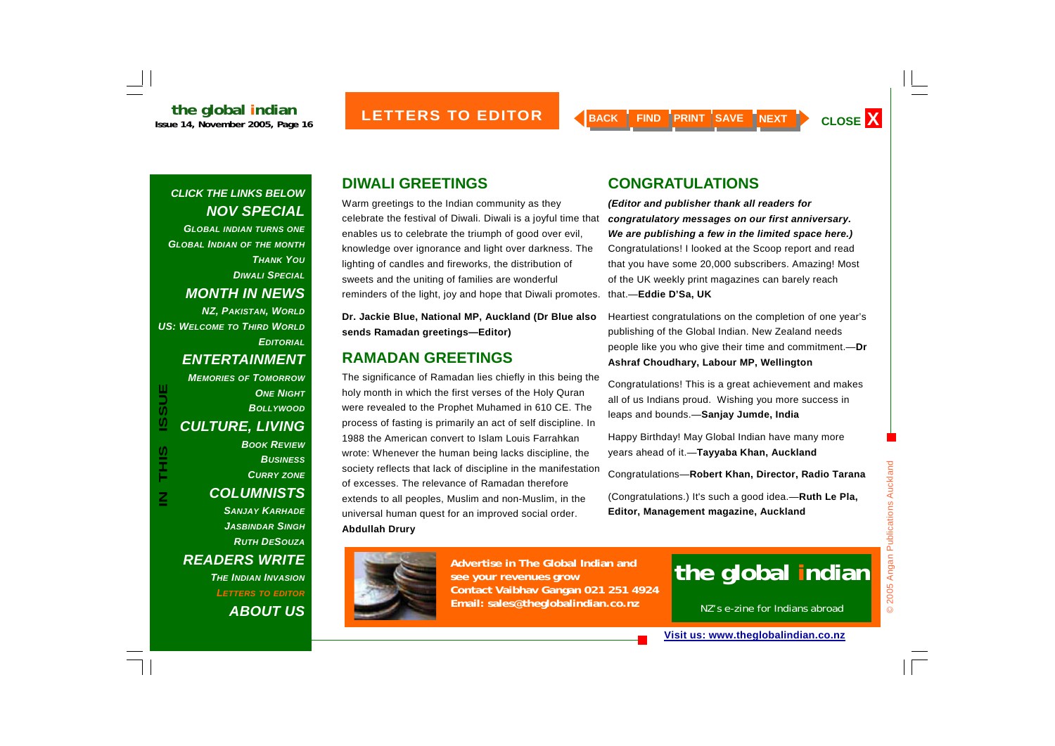*GLOBAL INDIAN TURNS ONE GLOBAL INDIAN OF THE MONTH THANK YOUDIWALI SPECIALMONTH IN NEWS NZ, PAKISTAN, WORLD*

*US: WELCOME TO THIRD WORLDEDITORIAL*

**IN THIS ISSUE**

**SIHL** 

**ISSUE** 

#### *ENTERTAINMENT*

*MEMORIES OF TOMORROW***ONE NIGHT** *BOLLYWOODCULTURE, LIVING BOOK REVIEWBUSINESSCURRY ZONE COLUMNISTS SANJAY KARHADEJASBINDAR SINGHRUTH DESOUZAREADERS WRITE THE INDIAN INVASIONLETTERS TO EDITOR*

*ABOUT US*

## **DIWALI GREETINGS**

Warm greetings to the Indian community as they celebrate the festival of Diwali. Diwali is a joyful time that enables us to celebrate the triumph of good over evil, knowledge over ignorance and light over darkness. The lighting of candles and fireworks, the distribution of sweets and the uniting of families are wonderful reminders of the light, joy and hope that Diwali promotes.

**Dr. Jackie Blue, National MP, Auckland (Dr Blue also sends Ramadan greetings—Editor)** 

#### **RAMADAN GREETINGS**

The significance of Ramadan lies chiefly in this being the holy month in which the first verses of the Holy Quran were revealed to the Prophet Muhamed in 610 CE. The process of fasting is primarily an act of self discipline. In 1988 the American convert to Islam Louis Farrahkan wrote: Whenever the human being lacks discipline, the society reflects that lack of discipline in the manifestation of excesses. The relevance of Ramadan therefore extends to all peoples, Muslim and non-Muslim, in the universal human quest for an improved social order. **Abdullah Drury** 

## **CONGRATULATIONS**

*(Editor and publisher thank all readers for congratulatory messages on our first anniversary. We are publishing a few in the limited space here.)* Congratulations! I looked at the Scoop report and read that you have some 20,000 subscribers. Amazing! Most of the UK weekly print magazines can barely reach that.—**Eddie D'Sa, UK**

Heartiest congratulations on the completion of one year's publishing of the Global Indian. New Zealand needs people like you who give their time and commitment.—**Dr Ashraf Choudhary, Labour MP, Wellington**

Congratulations! This is a great achievement and makes all of us Indians proud. Wishing you more success in leaps and bounds.—**Sanjay Jumde, India**

Happy Birthday! May Global Indian have many more years ahead of it.—**Tayyaba Khan, Auckland**

Congratulations—**Robert Khan, Director, Radio Tarana**

(Congratulations.) It's such a good idea.—**Ruth Le Pla, Editor, Management magazine, Auckland**



Congratulations Robert Khan, Director, Radio Tarana<br>
Muslim and non-Muslim, in the (Congratulations.) It's such a good idea.—Ruth Le Pla,<br>
or an improved social order.<br>
Editor, Management magazine, Auckland<br>
See your reven